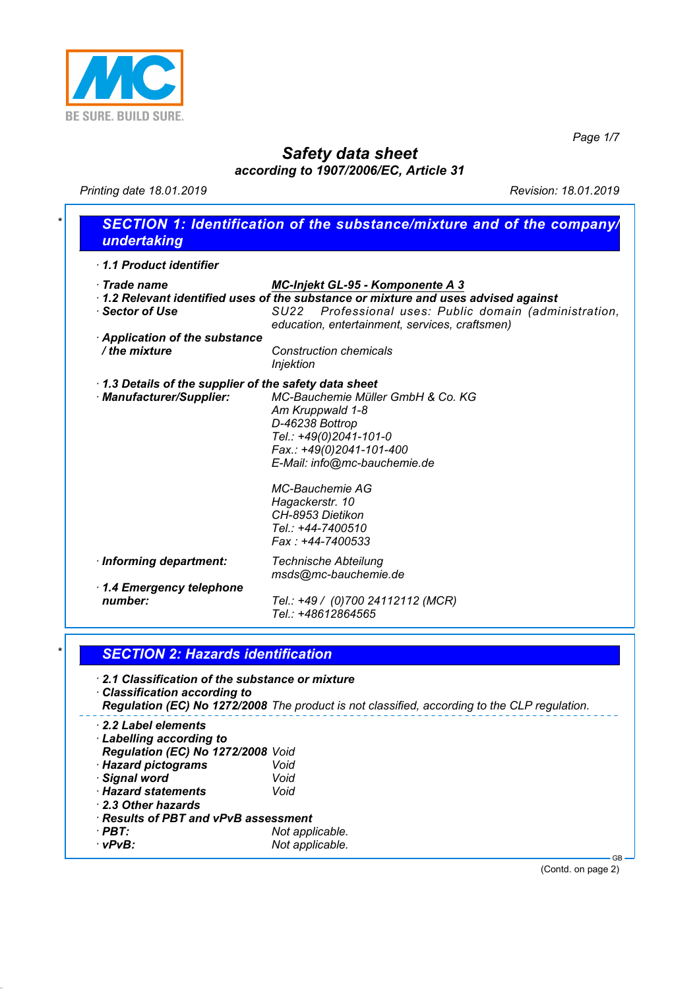

*Page 1/7*

## *Safety data sheet according to 1907/2006/EC, Article 31*

*Printing date 18.01.2019 Revision: 18.01.2019*

| 1.1 Product identifier                                                |                                                                                              |
|-----------------------------------------------------------------------|----------------------------------------------------------------------------------------------|
| $\cdot$ Trade name                                                    | <b>MC-Injekt GL-95 - Komponente A 3</b>                                                      |
|                                                                       | 1.2 Relevant identified uses of the substance or mixture and uses advised against            |
| $\cdot$ Sector of Use                                                 | SU22 Professional uses: Public domain (administration,                                       |
| Application of the substance                                          | education, entertainment, services, craftsmen)                                               |
| / the mixture                                                         | <b>Construction chemicals</b>                                                                |
|                                                                       | <b>Injektion</b>                                                                             |
| 1.3 Details of the supplier of the safety data sheet                  |                                                                                              |
| · Manufacturer/Supplier:                                              | MC-Bauchemie Müller GmbH & Co. KG                                                            |
|                                                                       | Am Kruppwald 1-8                                                                             |
|                                                                       | D-46238 Bottrop                                                                              |
|                                                                       | Tel.: +49(0)2041-101-0                                                                       |
|                                                                       | Fax.: +49(0)2041-101-400                                                                     |
|                                                                       | E-Mail: info@mc-bauchemie.de                                                                 |
|                                                                       | MC-Bauchemie AG                                                                              |
|                                                                       | Hagackerstr. 10                                                                              |
|                                                                       | CH-8953 Dietikon                                                                             |
|                                                                       | Tel.: +44-7400510                                                                            |
|                                                                       | Fax: +44-7400533                                                                             |
| · Informing department:                                               | <b>Technische Abteilung</b>                                                                  |
|                                                                       | msds@mc-bauchemie.de                                                                         |
| 1.4 Emergency telephone                                               |                                                                                              |
| number:                                                               | Tel.: +49 / (0)700 24112112 (MCR)                                                            |
|                                                                       | Tel.: +48612864565                                                                           |
|                                                                       |                                                                                              |
| <b>SECTION 2: Hazards identification</b>                              |                                                                                              |
| 2.1 Classification of the substance or mixture                        |                                                                                              |
| <b>Classification according to</b>                                    |                                                                                              |
|                                                                       | Regulation (EC) No 1272/2008 The product is not classified, according to the CLP regulation. |
| 2.2 Label elements                                                    |                                                                                              |
| Labelling according to                                                |                                                                                              |
| Regulation (EC) No 1272/2008 Void                                     |                                                                                              |
| · Hazard pictograms                                                   | Void                                                                                         |
| · Signal word                                                         | Void                                                                                         |
| <b>Hazard statements</b>                                              | Void                                                                                         |
| 2.3 Other hazards                                                     |                                                                                              |
|                                                                       |                                                                                              |
|                                                                       |                                                                                              |
| · Results of PBT and vPvB assessment<br>$\cdot$ PBT:<br>$\cdot$ vPvB: | Not applicable.<br>Not applicable.                                                           |

(Contd. on page 2)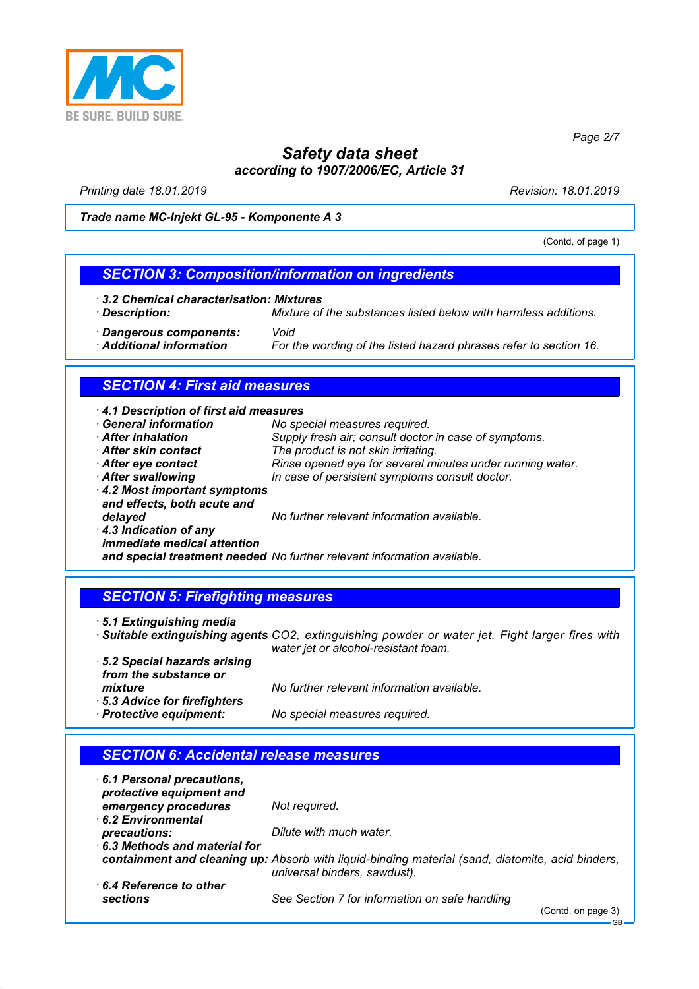

*Page 2/7*

# *Safety data sheet according to 1907/2006/EC, Article 31*

*Printing date 18.01.2019 Revision: 18.01.2019*

#### *Trade name MC-Injekt GL-95 - Komponente A 3*

(Contd. of page 1)

#### *SECTION 3: Composition/information on ingredients*

- *· 3.2 Chemical characterisation: Mixtures*
- 

*· Description: Mixture of the substances listed below with harmless additions.*

*· Dangerous components: Void*

For the wording of the listed hazard phrases refer to section 16.

# *SECTION 4: First aid measures*

| 4.1 Description of first aid measures<br><b>General information</b> |                                                                         |
|---------------------------------------------------------------------|-------------------------------------------------------------------------|
|                                                                     | No special measures required.                                           |
| After inhalation                                                    | Supply fresh air; consult doctor in case of symptoms.                   |
| After skin contact                                                  | The product is not skin irritating.                                     |
| After eye contact                                                   | Rinse opened eye for several minutes under running water.               |
| After swallowing                                                    | In case of persistent symptoms consult doctor.                          |
| 4.2 Most important symptoms<br>and effects, both acute and          |                                                                         |
| delayed                                                             | No further relevant information available.                              |
| 4.3 Indication of any                                               |                                                                         |
| <i>immediate medical attention</i>                                  | and special treatment needed No further relevant information available. |

#### *SECTION 5: Firefighting measures*

*· 5.1 Extinguishing media*

- *· Suitable extinguishing agents CO2, extinguishing powder or water jet. Fight larger fires with water jet or alcohol-resistant foam.*
- *· 5.2 Special hazards arising from the substance or*

*mixture No further relevant information available.*

- *· 5.3 Advice for firefighters*
- *· Protective equipment: No special measures required.*

#### *SECTION 6: Accidental release measures · 6.1 Personal precautions, protective equipment and emergency procedures Not required. · 6.2 Environmental Dilute with much water. · 6.3 Methods and material for containment and cleaning up: Absorb with liquid-binding material (sand, diatomite, acid binders, universal binders, sawdust). · 6.4 Reference to other* See Section 7 for information on safe handling (Contd. on page 3)

GB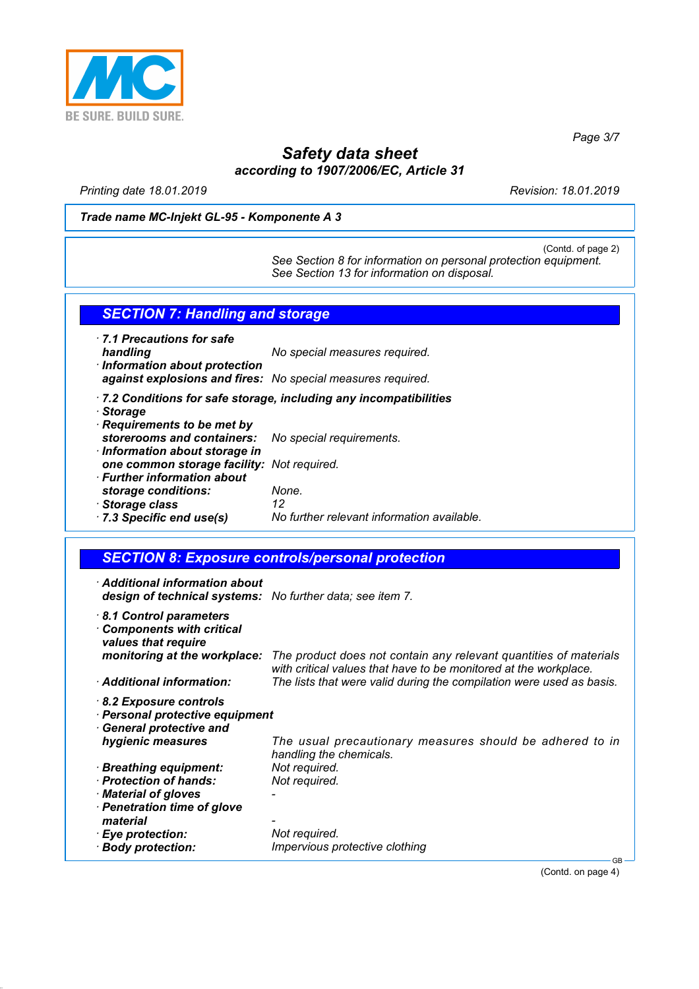

*Page 3/7*

# *Safety data sheet according to 1907/2006/EC, Article 31*

*Printing date 18.01.2019 Revision: 18.01.2019*

#### *Trade name MC-Injekt GL-95 - Komponente A 3*

(Contd. of page 2) *See Section 8 for information on personal protection equipment. See Section 13 for information on disposal.*

#### *SECTION 7: Handling and storage*

- *· 7.1 Precautions for safe handling No special measures required. · Information about protection against explosions and fires: No special measures required.*
- *· 7.2 Conditions for safe storage, including any incompatibilities*
- *· Storage*
- *· Requirements to be met by storerooms and containers: No special requirements. · Information about storage in one common storage facility: Not required. · Further information about*
- *storage conditions: None.*
- 
- *· Storage class 12 · 7.3 Specific end use(s) No further relevant information available.*

### *SECTION 8: Exposure controls/personal protection*

*· Additional information about design of technical systems: No further data; see item 7.*

| 8.1 Control parameters<br><b>Components with critical</b><br>values that require          |                                                                                                                                       |
|-------------------------------------------------------------------------------------------|---------------------------------------------------------------------------------------------------------------------------------------|
| monitoring at the workplace:                                                              | The product does not contain any relevant quantities of materials<br>with critical values that have to be monitored at the workplace. |
| Additional information:                                                                   | The lists that were valid during the compilation were used as basis.                                                                  |
| 8.2 Exposure controls<br>· Personal protective equipment<br><b>General protective and</b> |                                                                                                                                       |
| hygienic measures                                                                         | The usual precautionary measures should be adhered to in<br>handling the chemicals.                                                   |
| · Breathing equipment:                                                                    | Not required.                                                                                                                         |
| · Protection of hands:                                                                    | Not required.                                                                                                                         |
| Material of gloves                                                                        |                                                                                                                                       |
| · Penetration time of glove                                                               |                                                                                                                                       |
| material                                                                                  |                                                                                                                                       |
| · Eye protection:                                                                         | Not required.                                                                                                                         |
| · Body protection:                                                                        | Impervious protective clothing                                                                                                        |
|                                                                                           | <b>GB</b>                                                                                                                             |

(Contd. on page 4)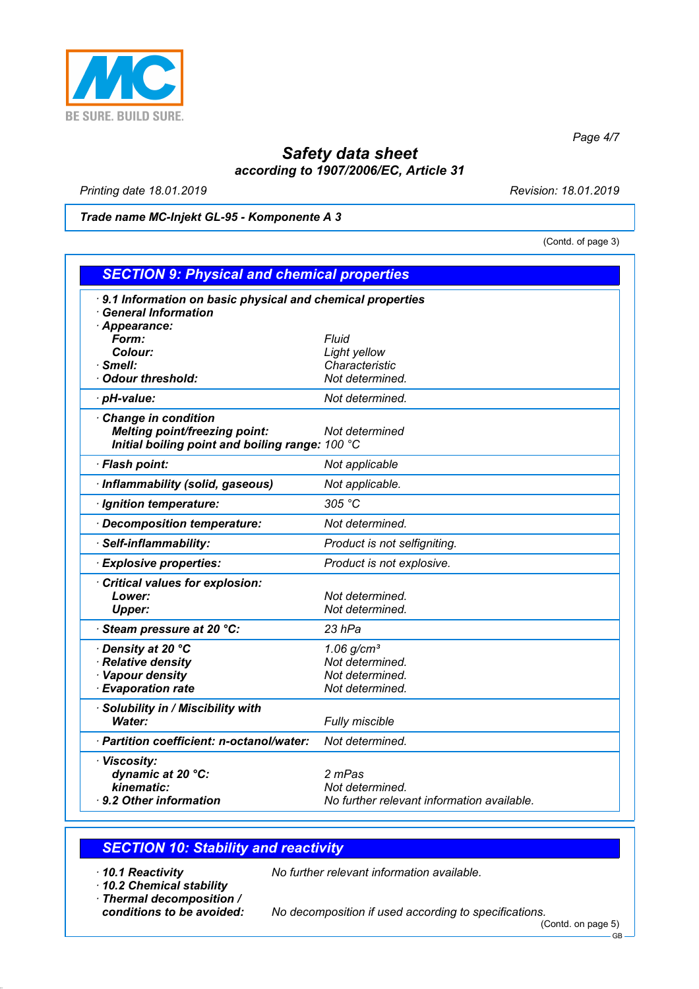

*Page 4/7*

# *Safety data sheet according to 1907/2006/EC, Article 31*

*Printing date 18.01.2019 Revision: 18.01.2019*

*Trade name MC-Injekt GL-95 - Komponente A 3*

(Contd. of page 3)

| <b>SECTION 9: Physical and chemical properties</b>                                                                    |                                            |
|-----------------------------------------------------------------------------------------------------------------------|--------------------------------------------|
| 9.1 Information on basic physical and chemical properties<br><b>General Information</b>                               |                                            |
| · Appearance:                                                                                                         |                                            |
| Form:<br>Colour:                                                                                                      | Fluid                                      |
|                                                                                                                       | Light yellow<br>Characteristic             |
| · Smell:<br>Odour threshold:                                                                                          | Not determined.                            |
|                                                                                                                       |                                            |
| · pH-value:                                                                                                           | Not determined.                            |
| <b>Change in condition</b><br><b>Melting point/freezing point:</b><br>Initial boiling point and boiling range: 100 °C | Not determined                             |
| · Flash point:                                                                                                        | Not applicable                             |
| · Inflammability (solid, gaseous)                                                                                     | Not applicable.                            |
| · Ignition temperature:                                                                                               | 305 °C                                     |
| Decomposition temperature:                                                                                            | Not determined.                            |
| · Self-inflammability:                                                                                                | Product is not selfigniting.               |
| <b>Explosive properties:</b>                                                                                          | Product is not explosive.                  |
| Critical values for explosion:                                                                                        |                                            |
| Lower:                                                                                                                | Not determined.                            |
| <b>Upper:</b>                                                                                                         | Not determined.                            |
| Steam pressure at 20 °C:                                                                                              | $23$ hPa                                   |
| Density at 20 °C                                                                                                      | $1.06$ g/cm <sup>3</sup>                   |
| · Relative density                                                                                                    | Not determined.                            |
| · Vapour density                                                                                                      | Not determined.                            |
| · Evaporation rate                                                                                                    | Not determined.                            |
| · Solubility in / Miscibility with                                                                                    |                                            |
| Water:                                                                                                                | Fully miscible                             |
| · Partition coefficient: n-octanol/water:                                                                             | Not determined.                            |
| · Viscosity:                                                                                                          |                                            |
| dynamic at 20 °C:                                                                                                     | 2 mPas                                     |
| kinematic:                                                                                                            | Not determined.                            |
| 9.2 Other information                                                                                                 | No further relevant information available. |

### *SECTION 10: Stability and reactivity*

- 
- *· 10.2 Chemical stability*
- *· Thermal decomposition /*

*· 10.1 Reactivity No further relevant information available.*

*conditions to be avoided: No decomposition if used according to specifications.*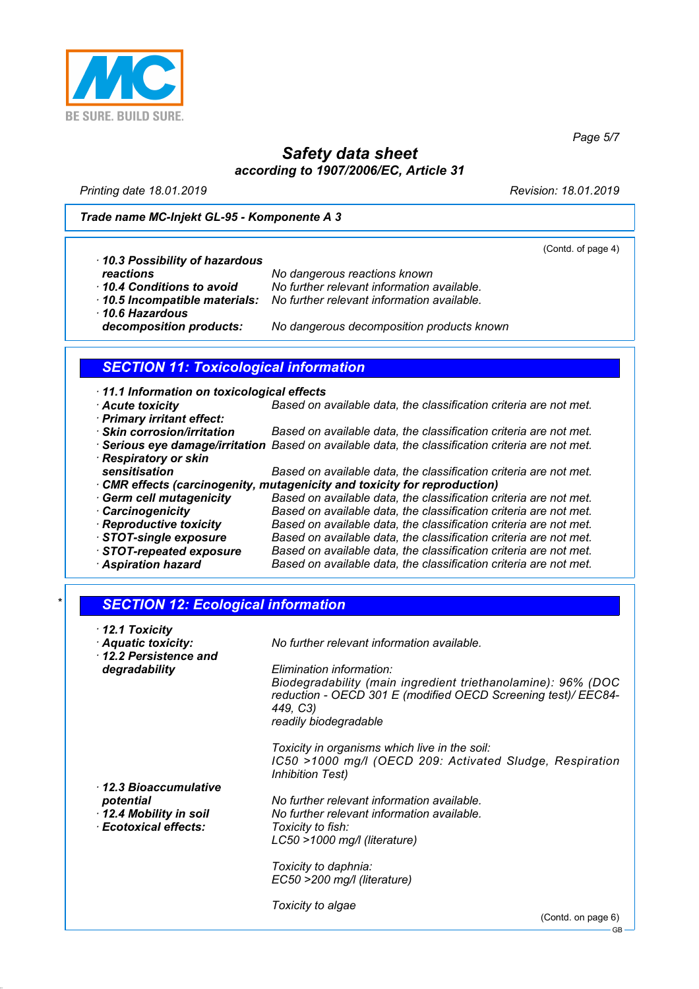

*Safety data sheet according to 1907/2006/EC, Article 31*

*Printing date 18.01.2019 Revision: 18.01.2019*

*Page 5/7*

### *Trade name MC-Injekt GL-95 - Komponente A 3*

|                                                          | (Contd. of page 4)                                                                                |
|----------------------------------------------------------|---------------------------------------------------------------------------------------------------|
| 10.3 Possibility of hazardous                            |                                                                                                   |
| reactions                                                | No dangerous reactions known                                                                      |
| 10.4 Conditions to avoid                                 | No further relevant information available.                                                        |
| · 10.5 Incompatible materials:<br>$\cdot$ 10.6 Hazardous | No further relevant information available.                                                        |
| decomposition products:                                  | No dangerous decomposition products known                                                         |
|                                                          |                                                                                                   |
| <b>SECTION 11: Toxicological information</b>             |                                                                                                   |
| 11.1 Information on toxicological effects                |                                                                                                   |
| Acute toxicity                                           | Based on available data, the classification criteria are not met.                                 |
| Primary irritant effect:                                 |                                                                                                   |
| $\cdot$ Skin corrosion/irritation                        | Based on available data, the classification criteria are not met.                                 |
|                                                          | · Serious eye damage/irritation Based on available data, the classification criteria are not met. |
| Respiratory or skin                                      |                                                                                                   |
| sensitisation                                            | Based on available data, the classification criteria are not met.                                 |
|                                                          | CMR effects (carcinogenity, mutagenicity and toxicity for reproduction)                           |
| Germ cell mutagenicity                                   | Based on available data, the classification criteria are not met.                                 |
| · Carcinogenicity                                        | Based on available data, the classification criteria are not met.                                 |
| · Reproductive toxicity                                  | Based on available data, the classification criteria are not met.                                 |
| STOT-single exposure                                     | Based on available data, the classification criteria are not met.                                 |
| STOT-repeated exposure                                   | Based on available data, the classification criteria are not met.                                 |
| <b>Aspiration hazard</b>                                 | Based on available data, the classification criteria are not met.                                 |
|                                                          |                                                                                                   |
|                                                          |                                                                                                   |
|                                                          |                                                                                                   |
| <b>SECTION 12: Ecological information</b>                |                                                                                                   |

| · Aquatic toxicity:<br>12.2 Persistence and | No further relevant information available.                                                                                                                                                     |
|---------------------------------------------|------------------------------------------------------------------------------------------------------------------------------------------------------------------------------------------------|
| degradability                               | Elimination information:<br>Biodegradability (main ingredient triethanolamine): 96% (DOC<br>reduction - OECD 301 E (modified OECD Screening test)/ EEC84-<br>449, C3)<br>readily biodegradable |
|                                             | Toxicity in organisms which live in the soil:<br>IC50 >1000 mg/l (OECD 209: Activated Sludge, Respiration<br><b>Inhibition Test)</b>                                                           |
| 12.3 Bioaccumulative<br>potential           | No further relevant information available.                                                                                                                                                     |
| 12.4 Mobility in soil                       | No further relevant information available.                                                                                                                                                     |
| · Ecotoxical effects:                       | Toxicity to fish:                                                                                                                                                                              |
|                                             | LC50 >1000 mg/l (literature)                                                                                                                                                                   |
|                                             | Toxicity to daphnia:                                                                                                                                                                           |
|                                             | EC50 >200 mg/l (literature)                                                                                                                                                                    |
|                                             | Toxicity to algae                                                                                                                                                                              |
|                                             | (Contd. on page 6)                                                                                                                                                                             |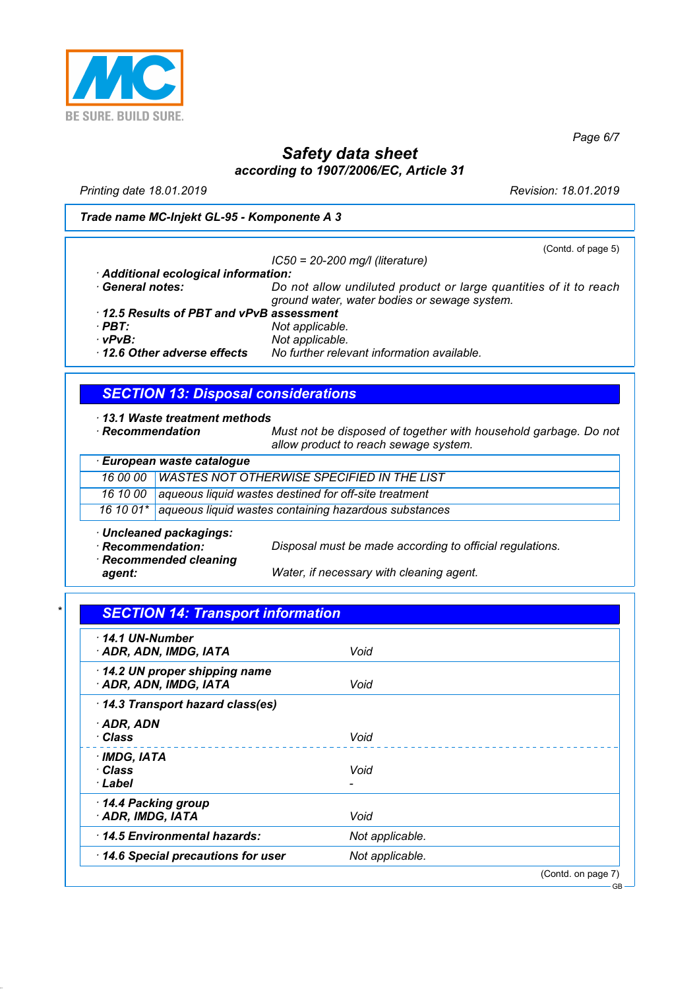

*Page 6/7*

# *Safety data sheet according to 1907/2006/EC, Article 31*

*Printing date 18.01.2019 Revision: 18.01.2019*

#### *Trade name MC-Injekt GL-95 - Komponente A 3*

|                                         | (Contd. of page 5)                                                                                                |
|-----------------------------------------|-------------------------------------------------------------------------------------------------------------------|
|                                         | $IC50 = 20-200$ mg/l (literature)                                                                                 |
| Additional ecological information:      |                                                                                                                   |
| · General notes:                        | Do not allow undiluted product or large quantities of it to reach<br>ground water, water bodies or sewage system. |
| 12.5 Results of PBT and vPvB assessment |                                                                                                                   |
| · PBT:                                  | Not applicable.                                                                                                   |
| vPvB:                                   | Not applicable.                                                                                                   |
| 12.6 Other adverse effects              | No further relevant information available.                                                                        |

### *SECTION 13: Disposal considerations*

| $+$ 13.1 Waste treatment methods |  |
|----------------------------------|--|
|                                  |  |

*· Recommendation Must not be disposed of together with household garbage. Do not allow product to reach sewage system.*

| · European waste catalogue                                      |  |
|-----------------------------------------------------------------|--|
| 16 00 00   WASTES NOT OTHERWISE SPECIFIED IN THE LIST           |  |
| 16 10 00 aqueous liquid wastes destined for off-site treatment  |  |
| 16 10 01* aqueous liquid wastes containing hazardous substances |  |
| Uncleaned packagings:                                           |  |

*· Recommendation: Disposal must be made according to official regulations.*

*· Recommended cleaning*

*Water, if necessary with cleaning agent.* 

### *\* SECTION 14: Transport information*

| $-14.1$ UN-Number<br>· ADR, ADN, IMDG, IATA            | Void               |  |
|--------------------------------------------------------|--------------------|--|
| 14.2 UN proper shipping name<br>· ADR, ADN, IMDG, IATA | Void               |  |
| 14.3 Transport hazard class(es)                        |                    |  |
| · ADR, ADN<br>· Class                                  | Void               |  |
| · IMDG, IATA<br>∙ Class<br>· Label                     | Void               |  |
| 14.4 Packing group<br>ADR, IMDG, IATA                  | Void               |  |
| 14.5 Environmental hazards:                            | Not applicable.    |  |
| 14.6 Special precautions for user                      | Not applicable.    |  |
|                                                        | (Contd. on page 7) |  |

 $\sim$